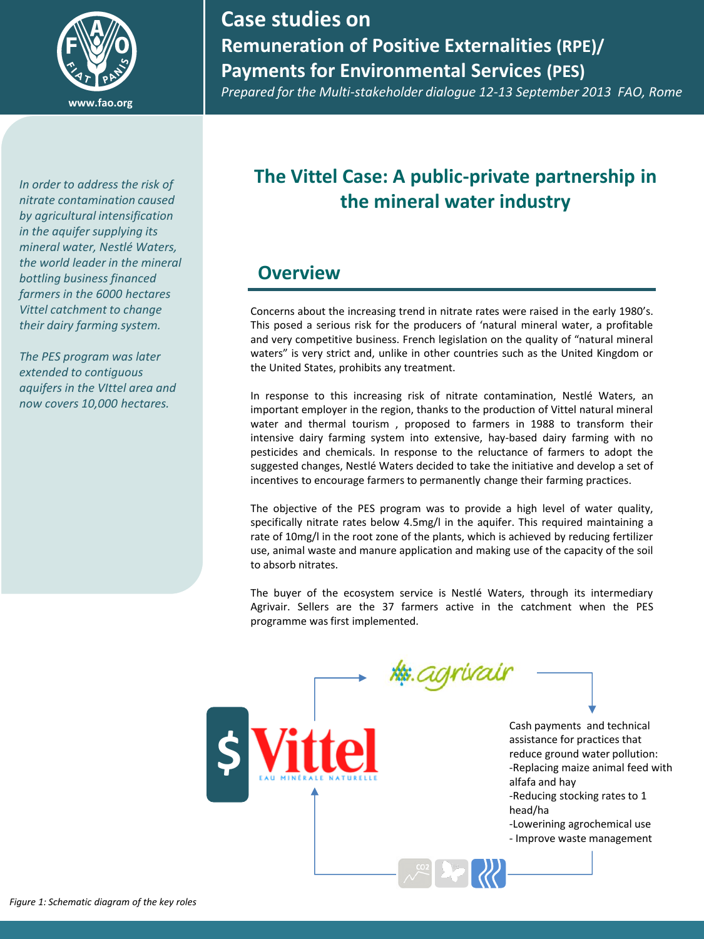

## **Case studies on Remuneration of Positive Externalities (RPE)/ Payments for Environmental Services (PES)**

*Prepared for the Multi-stakeholder dialogue 12-13 September 2013 FAO, Rome*

*In order to address the risk of nitrate contamination caused by agricultural intensification in the aquifer supplying its mineral water, Nestlé Waters, the world leader in the mineral bottling business financed farmers in the 6000 hectares Vittel catchment to change their dairy farming system.* 

*The PES program was later extended to contiguous aquifers in the VIttel area and now covers 10,000 hectares.*

## **The Vittel Case: A public-private partnership in the mineral water industry**

## **Overview**

Concerns about the increasing trend in nitrate rates were raised in the early 1980's. This posed a serious risk for the producers of 'natural mineral water, a profitable and very competitive business. French legislation on the quality of "natural mineral waters" is very strict and, unlike in other countries such as the United Kingdom or the United States, prohibits any treatment.

In response to this increasing risk of nitrate contamination, Nestlé Waters, an important employer in the region, thanks to the production of Vittel natural mineral water and thermal tourism , proposed to farmers in 1988 to transform their intensive dairy farming system into extensive, hay-based dairy farming with no pesticides and chemicals. In response to the reluctance of farmers to adopt the suggested changes, Nestlé Waters decided to take the initiative and develop a set of incentives to encourage farmers to permanently change their farming practices.

The objective of the PES program was to provide a high level of water quality, specifically nitrate rates below 4.5mg/l in the aquifer. This required maintaining a rate of 10mg/l in the root zone of the plants, which is achieved by reducing fertilizer use, animal waste and manure application and making use of the capacity of the soil to absorb nitrates.

The buyer of the ecosystem service is Nestlé Waters, through its intermediary Agrivair. Sellers are the 37 farmers active in the catchment when the PES programme was first implemented.

> **http:**agrival Cash payments and technical assistance for practices that reduce ground water pollution: -Replacing maize animal feed with alfafa and hay -Reducing stocking rates to 1 head/ha -Lowerining agrochemical use

- Improve waste management

**\$**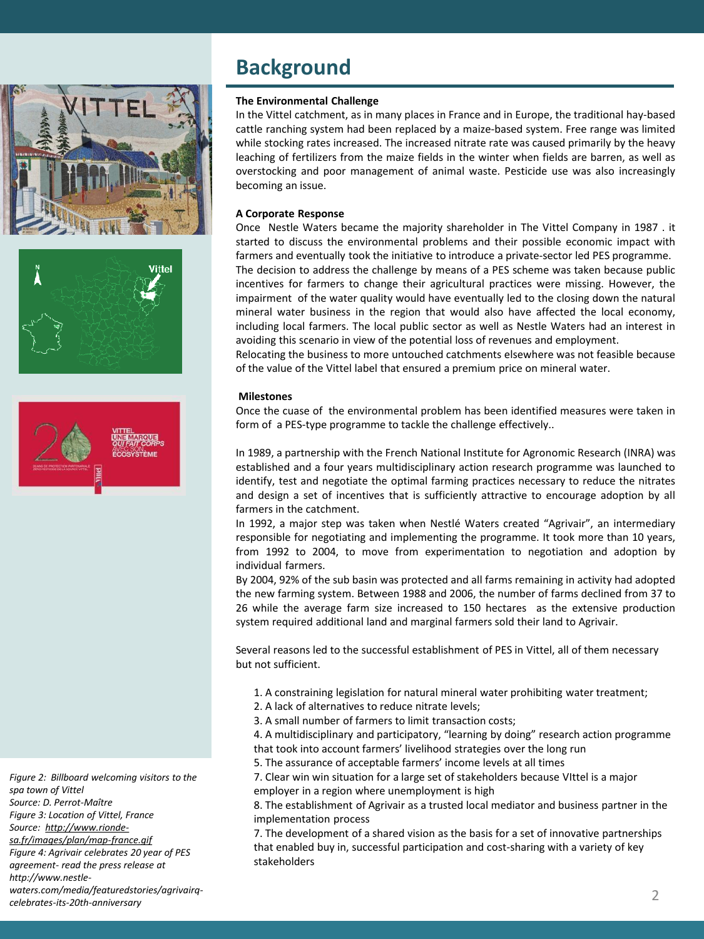





*Figure 2: Billboard welcoming visitors to the spa town of Vittel Source: D. Perrot-Maître Figure 3: Location of Vittel, France Source: http://www.riondesa.fr/images/plan/map-france.gif Figure 4: Agrivair celebrates 20 year of PES agreement- read the press release at http://www.nestlewaters.com/media/featuredstories/agrivairqcelebrates-its-20th-anniversary*

## **Background**

### **The Environmental Challenge**

In the Vittel catchment, as in many places in France and in Europe, the traditional hay-based cattle ranching system had been replaced by a maize-based system. Free range was limited while stocking rates increased. The increased nitrate rate was caused primarily by the heavy leaching of fertilizers from the maize fields in the winter when fields are barren, as well as overstocking and poor management of animal waste. Pesticide use was also increasingly becoming an issue.

### **A Corporate Response**

Once Nestle Waters became the majority shareholder in The Vittel Company in 1987 . it started to discuss the environmental problems and their possible economic impact with farmers and eventually took the initiative to introduce a private-sector led PES programme. The decision to address the challenge by means of a PES scheme was taken because public incentives for farmers to change their agricultural practices were missing. However, the impairment of the water quality would have eventually led to the closing down the natural mineral water business in the region that would also have affected the local economy, including local farmers. The local public sector as well as Nestle Waters had an interest in avoiding this scenario in view of the potential loss of revenues and employment.

Relocating the business to more untouched catchments elsewhere was not feasible because of the value of the Vittel label that ensured a premium price on mineral water.

### **Milestones**

Once the cuase of the environmental problem has been identified measures were taken in form of a PES-type programme to tackle the challenge effectively..

In 1989, a partnership with the French National Institute for Agronomic Research (INRA) was established and a four years multidisciplinary action research programme was launched to identify, test and negotiate the optimal farming practices necessary to reduce the nitrates and design a set of incentives that is sufficiently attractive to encourage adoption by all farmers in the catchment.

In 1992, a major step was taken when Nestlé Waters created "Agrivair", an intermediary responsible for negotiating and implementing the programme. It took more than 10 years, from 1992 to 2004, to move from experimentation to negotiation and adoption by individual farmers.

By 2004, 92% of the sub basin was protected and all farms remaining in activity had adopted the new farming system. Between 1988 and 2006, the number of farms declined from 37 to 26 while the average farm size increased to 150 hectares as the extensive production system required additional land and marginal farmers sold their land to Agrivair.

Several reasons led to the successful establishment of PES in Vittel, all of them necessary but not sufficient.

- 1. A constraining legislation for natural mineral water prohibiting water treatment;
- 2. A lack of alternatives to reduce nitrate levels;
- 3. A small number of farmers to limit transaction costs;

4. A multidisciplinary and participatory, "learning by doing" research action programme that took into account farmers' livelihood strategies over the long run

5. The assurance of acceptable farmers' income levels at all times

7. Clear win win situation for a large set of stakeholders because VIttel is a major employer in a region where unemployment is high

8. The establishment of Agrivair as a trusted local mediator and business partner in the implementation process

7. The development of a shared vision as the basis for a set of innovative partnerships that enabled buy in, successful participation and cost-sharing with a variety of key stakeholders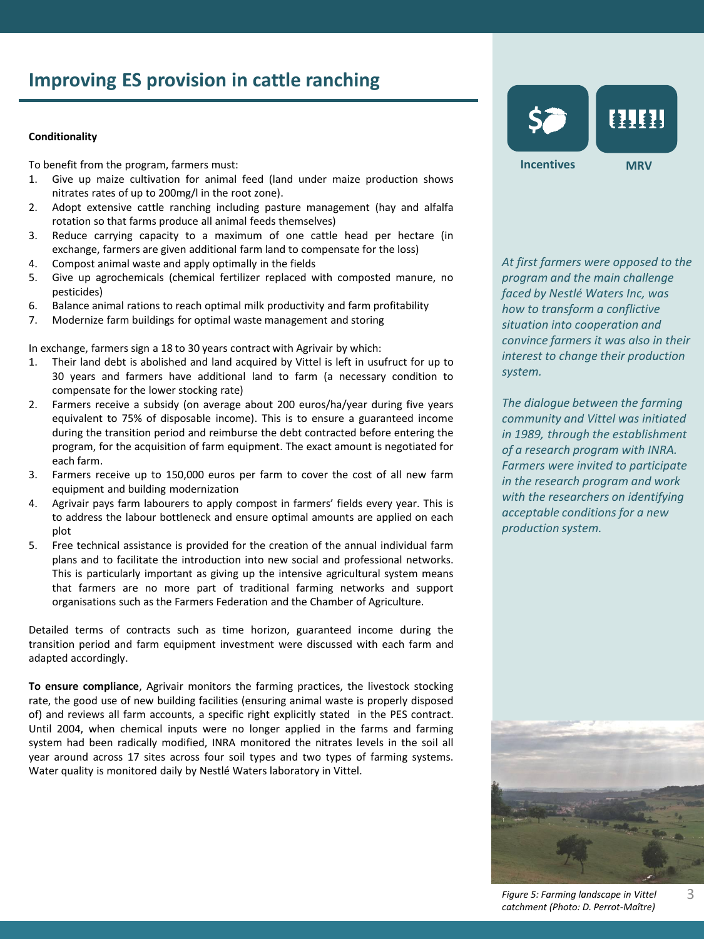## **Improving ES provision in cattle ranching**

### **Conditionality**

To benefit from the program, farmers must:

- 1. Give up maize cultivation for animal feed (land under maize production shows nitrates rates of up to 200mg/l in the root zone).
- 2. Adopt extensive cattle ranching including pasture management (hay and alfalfa rotation so that farms produce all animal feeds themselves)
- 3. Reduce carrying capacity to a maximum of one cattle head per hectare (in exchange, farmers are given additional farm land to compensate for the loss)
- 4. Compost animal waste and apply optimally in the fields
- 5. Give up agrochemicals (chemical fertilizer replaced with composted manure, no pesticides)
- 6. Balance animal rations to reach optimal milk productivity and farm profitability
- 7. Modernize farm buildings for optimal waste management and storing

In exchange, farmers sign a 18 to 30 years contract with Agrivair by which:

- 1. Their land debt is abolished and land acquired by Vittel is left in usufruct for up to 30 years and farmers have additional land to farm (a necessary condition to compensate for the lower stocking rate)
- 2. Farmers receive a subsidy (on average about 200 euros/ha/year during five years equivalent to 75% of disposable income). This is to ensure a guaranteed income during the transition period and reimburse the debt contracted before entering the program, for the acquisition of farm equipment. The exact amount is negotiated for each farm.
- 3. Farmers receive up to 150,000 euros per farm to cover the cost of all new farm equipment and building modernization
- 4. Agrivair pays farm labourers to apply compost in farmers' fields every year. This is to address the labour bottleneck and ensure optimal amounts are applied on each plot
- 5. Free technical assistance is provided for the creation of the annual individual farm plans and to facilitate the introduction into new social and professional networks. This is particularly important as giving up the intensive agricultural system means that farmers are no more part of traditional farming networks and support organisations such as the Farmers Federation and the Chamber of Agriculture.

Detailed terms of contracts such as time horizon, guaranteed income during the transition period and farm equipment investment were discussed with each farm and adapted accordingly.

**To ensure compliance**, Agrivair monitors the farming practices, the livestock stocking rate, the good use of new building facilities (ensuring animal waste is properly disposed of) and reviews all farm accounts, a specific right explicitly stated in the PES contract. Until 2004, when chemical inputs were no longer applied in the farms and farming system had been radically modified, INRA monitored the nitrates levels in the soil all year around across 17 sites across four soil types and two types of farming systems. Water quality is monitored daily by Nestlé Waters laboratory in Vittel.



*At first farmers were opposed to the program and the main challenge faced by Nestlé Waters Inc, was how to transform a conflictive situation into cooperation and convince farmers it was also in their interest to change their production system.* 

*The dialogue between the farming community and Vittel was initiated in 1989, through the establishment of a research program with INRA. Farmers were invited to participate in the research program and work with the researchers on identifying acceptable conditions for a new production system.*



*Figure 5: Farming landscape in Vittel catchment (Photo: D. Perrot-Maître)*

3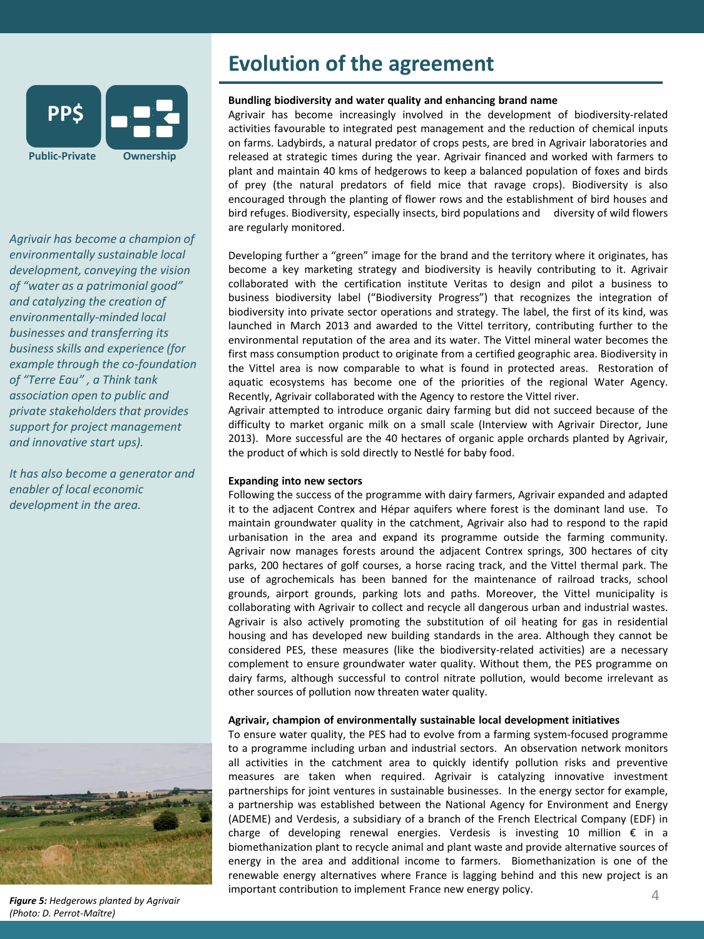

*Agrivair has become a champion of environmentally sustainable local development, conveying the vision of "water as a patrimonial good" and catalyzing the creation of environmentally-minded local businesses and transferring its business skills and experience (for example through the co-foundation of "Terre Eau" , a Think tank association open to public and private stakeholders that provides support for project management and innovative start ups).* 

*It has also become a generator and enabler of local economic development in the area.* 



### *Figure 5: Hedgerows planted by Agrivair (Photo: D. Perrot-Maître)*

## **Evolution of the agreement**

### **Bundling biodiversity and water quality and enhancing brand name**

Agrivair has become increasingly involved in the development of biodiversity-related activities favourable to integrated pest management and the reduction of chemical inputs on farms. Ladybirds, a natural predator of crops pests, are bred in Agrivair laboratories and released at strategic times during the year. Agrivair financed and worked with farmers to plant and maintain 40 kms of hedgerows to keep a balanced population of foxes and birds of prey (the natural predators of field mice that ravage crops). Biodiversity is also encouraged through the planting of flower rows and the establishment of bird houses and bird refuges. Biodiversity, especially insects, bird populations and diversity of wild flowers are regularly monitored.

Developing further a "green" image for the brand and the territory where it originates, has become a key marketing strategy and biodiversity is heavily contributing to it. Agrivair collaborated with the certification institute Veritas to design and pilot a business to business biodiversity label ("Biodiversity Progress") that recognizes the integration of biodiversity into private sector operations and strategy. The label, the first of its kind, was launched in March 2013 and awarded to the Vittel territory, contributing further to the environmental reputation of the area and its water. The Vittel mineral water becomes the first mass consumption product to originate from a certified geographic area. Biodiversity in the Vittel area is now comparable to what is found in protected areas. Restoration of aquatic ecosystems has become one of the priorities of the regional Water Agency. Recently, Agrivair collaborated with the Agency to restore the Vittel river.

Agrivair attempted to introduce organic dairy farming but did not succeed because of the difficulty to market organic milk on a small scale (Interview with Agrivair Director, June 2013). More successful are the 40 hectares of organic apple orchards planted by Agrivair, the product of which is sold directly to Nestlé for baby food.

### **Expanding into new sectors**

Following the success of the programme with dairy farmers, Agrivair expanded and adapted it to the adjacent Contrex and Hépar aquifers where forest is the dominant land use. To maintain groundwater quality in the catchment, Agrivair also had to respond to the rapid urbanisation in the area and expand its programme outside the farming community. Agrivair now manages forests around the adjacent Contrex springs, 300 hectares of city parks, 200 hectares of golf courses, a horse racing track, and the Vittel thermal park. The use of agrochemicals has been banned for the maintenance of railroad tracks, school grounds, airport grounds, parking lots and paths. Moreover, the Vittel municipality is collaborating with Agrivair to collect and recycle all dangerous urban and industrial wastes. Agrivair is also actively promoting the substitution of oil heating for gas in residential housing and has developed new building standards in the area. Although they cannot be considered PES, these measures (like the biodiversity-related activities) are a necessary complement to ensure groundwater water quality. Without them, the PES programme on dairy farms, although successful to control nitrate pollution, would become irrelevant as other sources of pollution now threaten water quality.

### **Agrivair, champion of environmentally sustainable local development initiatives**

To ensure water quality, the PES had to evolve from a farming system-focused programme to a programme including urban and industrial sectors. An observation network monitors all activities in the catchment area to quickly identify pollution risks and preventive measures are taken when required. Agrivair is catalyzing innovative investment partnerships for joint ventures in sustainable businesses. In the energy sector for example, a partnership was established between the National Agency for Environment and Energy (ADEME) and Verdesis, a subsidiary of a branch of the French Electrical Company (EDF) in charge of developing renewal energies. Verdesis is investing 10 million € in a biomethanization plant to recycle animal and plant waste and provide alternative sources of energy in the area and additional income to farmers. Biomethanization is one of the renewable energy alternatives where France is lagging behind and this new project is an important contribution to implement France new energy policy.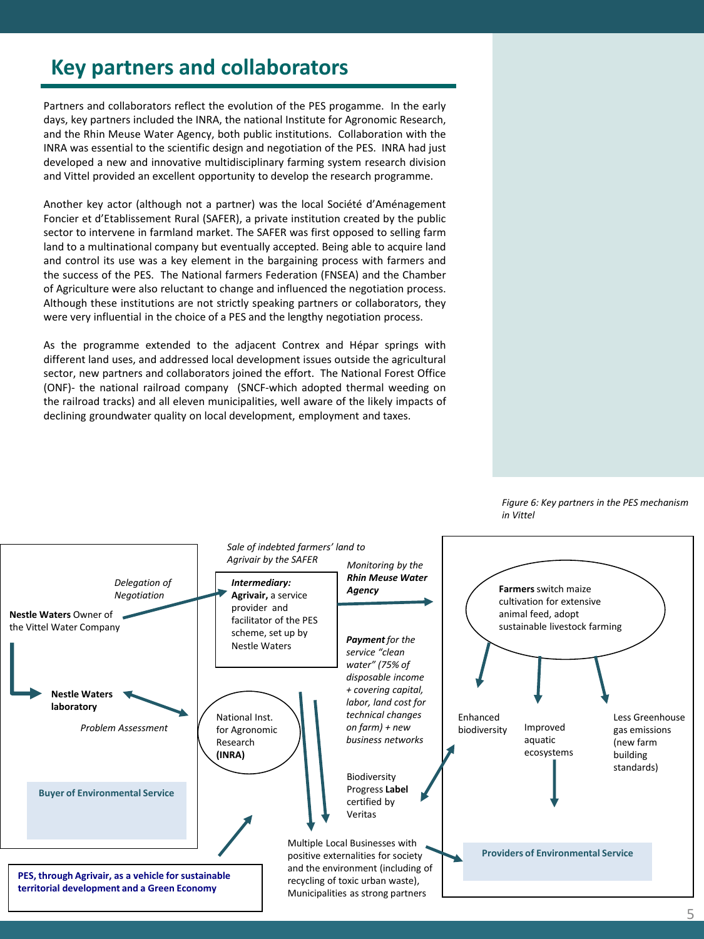## **Key partners and collaborators**

Partners and collaborators reflect the evolution of the PES progamme. In the early days, key partners included the INRA, the national Institute for Agronomic Research, and the Rhin Meuse Water Agency, both public institutions. Collaboration with the INRA was essential to the scientific design and negotiation of the PES. INRA had just developed a new and innovative multidisciplinary farming system research division and Vittel provided an excellent opportunity to develop the research programme.

Another key actor (although not a partner) was the local Société d'Aménagement Foncier et d'Etablissement Rural (SAFER), a private institution created by the public sector to intervene in farmland market. The SAFER was first opposed to selling farm land to a multinational company but eventually accepted. Being able to acquire land and control its use was a key element in the bargaining process with farmers and the success of the PES. The National farmers Federation (FNSEA) and the Chamber of Agriculture were also reluctant to change and influenced the negotiation process. Although these institutions are not strictly speaking partners or collaborators, they were very influential in the choice of a PES and the lengthy negotiation process.

As the programme extended to the adjacent Contrex and Hépar springs with different land uses, and addressed local development issues outside the agricultural sector, new partners and collaborators joined the effort. The National Forest Office (ONF)- the national railroad company (SNCF-which adopted thermal weeding on the railroad tracks) and all eleven municipalities, well aware of the likely impacts of declining groundwater quality on local development, employment and taxes.



*Figure 6: Key partners in the PES mechanism in Vittel*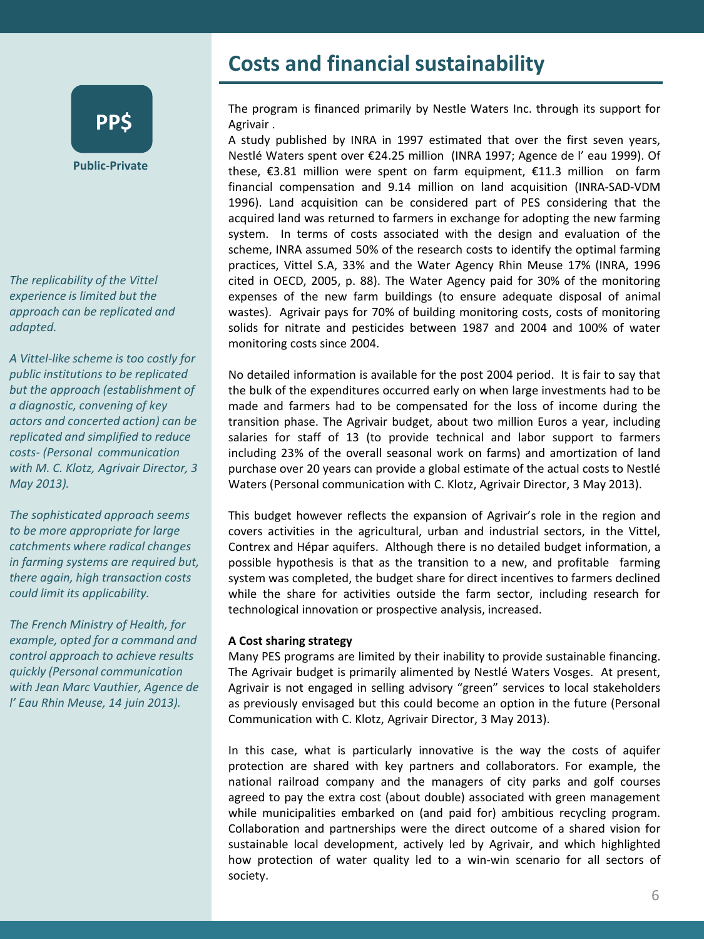# **PP\$**

**Public-Private**

*The replicability of the Vittel experience is limited but the approach can be replicated and adapted.* 

*A Vittel-like scheme is too costly for public institutions to be replicated but the approach (establishment of a diagnostic, convening of key actors and concerted action) can be replicated and simplified to reduce costs- (Personal communication with M. C. Klotz, Agrivair Director, 3 May 2013).* 

*The sophisticated approach seems to be more appropriate for large catchments where radical changes in farming systems are required but, there again, high transaction costs could limit its applicability.* 

*The French Ministry of Health, for example, opted for a command and control approach to achieve results quickly (Personal communication with Jean Marc Vauthier, Agence de l' Eau Rhin Meuse, 14 juin 2013).* 

## **Costs and financial sustainability**

The program is financed primarily by Nestle Waters Inc. through its support for Agrivair .

A study published by INRA in 1997 estimated that over the first seven years, Nestlé Waters spent over €24.25 million (INRA 1997; Agence de l' eau 1999). Of these, €3.81 million were spent on farm equipment, €11.3 million on farm financial compensation and 9.14 million on land acquisition (INRA-SAD-VDM 1996). Land acquisition can be considered part of PES considering that the acquired land was returned to farmers in exchange for adopting the new farming system. In terms of costs associated with the design and evaluation of the scheme, INRA assumed 50% of the research costs to identify the optimal farming practices, Vittel S.A, 33% and the Water Agency Rhin Meuse 17% (INRA, 1996 cited in OECD, 2005, p. 88). The Water Agency paid for 30% of the monitoring expenses of the new farm buildings (to ensure adequate disposal of animal wastes). Agrivair pays for 70% of building monitoring costs, costs of monitoring solids for nitrate and pesticides between 1987 and 2004 and 100% of water monitoring costs since 2004.

No detailed information is available for the post 2004 period. It is fair to say that the bulk of the expenditures occurred early on when large investments had to be made and farmers had to be compensated for the loss of income during the transition phase. The Agrivair budget, about two million Euros a year, including salaries for staff of 13 (to provide technical and labor support to farmers including 23% of the overall seasonal work on farms) and amortization of land purchase over 20 years can provide a global estimate of the actual costs to Nestlé Waters (Personal communication with C. Klotz, Agrivair Director, 3 May 2013).

This budget however reflects the expansion of Agrivair's role in the region and covers activities in the agricultural, urban and industrial sectors, in the Vittel, Contrex and Hépar aquifers. Although there is no detailed budget information, a possible hypothesis is that as the transition to a new, and profitable farming system was completed, the budget share for direct incentives to farmers declined while the share for activities outside the farm sector, including research for technological innovation or prospective analysis, increased.

### **A Cost sharing strategy**

Many PES programs are limited by their inability to provide sustainable financing. The Agrivair budget is primarily alimented by Nestlé Waters Vosges. At present, Agrivair is not engaged in selling advisory "green" services to local stakeholders as previously envisaged but this could become an option in the future (Personal Communication with C. Klotz, Agrivair Director, 3 May 2013).

In this case, what is particularly innovative is the way the costs of aquifer protection are shared with key partners and collaborators. For example, the national railroad company and the managers of city parks and golf courses agreed to pay the extra cost (about double) associated with green management while municipalities embarked on (and paid for) ambitious recycling program. Collaboration and partnerships were the direct outcome of a shared vision for sustainable local development, actively led by Agrivair, and which highlighted how protection of water quality led to a win-win scenario for all sectors of society.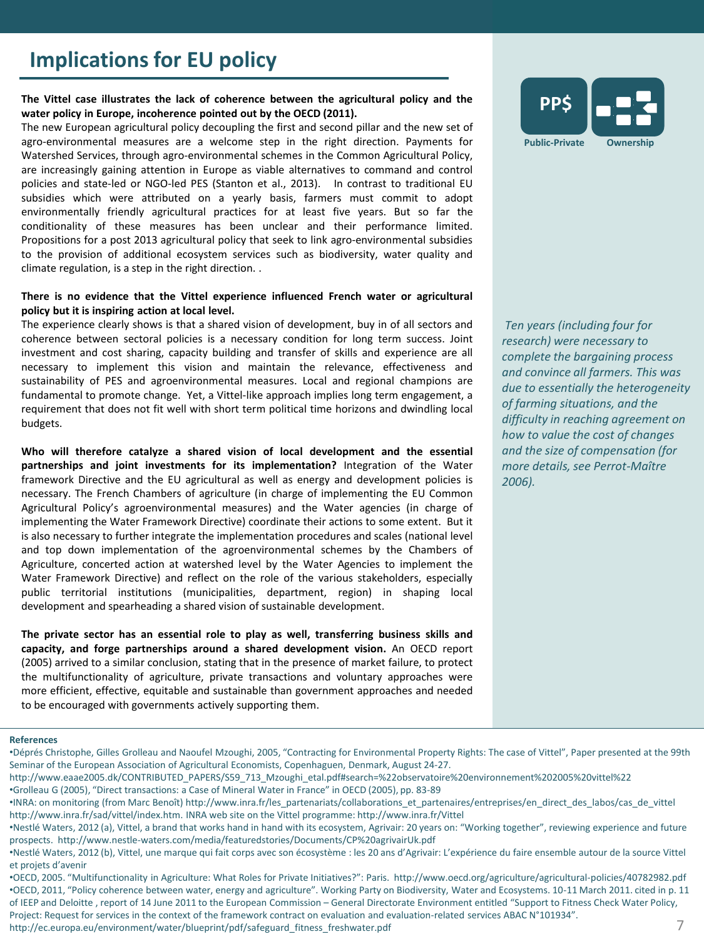## **Implications for EU policy**

### **The Vittel case illustrates the lack of coherence between the agricultural policy and the water policy in Europe, incoherence pointed out by the OECD (2011).**

The new European agricultural policy decoupling the first and second pillar and the new set of agro-environmental measures are a welcome step in the right direction. Payments for Watershed Services, through agro-environmental schemes in the Common Agricultural Policy, are increasingly gaining attention in Europe as viable alternatives to command and control policies and state-led or NGO-led PES (Stanton et al., 2013). In contrast to traditional EU subsidies which were attributed on a yearly basis, farmers must commit to adopt environmentally friendly agricultural practices for at least five years. But so far the conditionality of these measures has been unclear and their performance limited. Propositions for a post 2013 agricultural policy that seek to link agro-environmental subsidies to the provision of additional ecosystem services such as biodiversity, water quality and climate regulation, is a step in the right direction. .

### **There is no evidence that the Vittel experience influenced French water or agricultural policy but it is inspiring action at local level.**

The experience clearly shows is that a shared vision of development, buy in of all sectors and coherence between sectoral policies is a necessary condition for long term success. Joint investment and cost sharing, capacity building and transfer of skills and experience are all necessary to implement this vision and maintain the relevance, effectiveness and sustainability of PES and agroenvironmental measures. Local and regional champions are fundamental to promote change. Yet, a Vittel-like approach implies long term engagement, a requirement that does not fit well with short term political time horizons and dwindling local budgets.

**Who will therefore catalyze a shared vision of local development and the essential partnerships and joint investments for its implementation?** Integration of the Water framework Directive and the EU agricultural as well as energy and development policies is necessary. The French Chambers of agriculture (in charge of implementing the EU Common Agricultural Policy's agroenvironmental measures) and the Water agencies (in charge of implementing the Water Framework Directive) coordinate their actions to some extent. But it is also necessary to further integrate the implementation procedures and scales (national level and top down implementation of the agroenvironmental schemes by the Chambers of Agriculture, concerted action at watershed level by the Water Agencies to implement the Water Framework Directive) and reflect on the role of the various stakeholders, especially public territorial institutions (municipalities, department, region) in shaping local development and spearheading a shared vision of sustainable development.

**The private sector has an essential role to play as well, transferring business skills and capacity, and forge partnerships around a shared development vision.** An OECD report (2005) arrived to a similar conclusion, stating that in the presence of market failure, to protect the multifunctionality of agriculture, private transactions and voluntary approaches were more efficient, effective, equitable and sustainable than government approaches and needed to be encouraged with governments actively supporting them.



*Ten years (including four for research) were necessary to complete the bargaining process and convince all farmers. This was due to essentially the heterogeneity of farming situations, and the difficulty in reaching agreement on how to value the cost of changes and the size of compensation (for more details, see Perrot-Maître 2006).* 

### **References**

http://ec.europa.eu/environment/water/blueprint/pdf/safeguard\_fitness\_freshwater.pdf 7

<sup>•</sup>Déprés Christophe, Gilles Grolleau and Naoufel Mzoughi, 2005, "Contracting for Environmental Property Rights: The case of Vittel", Paper presented at the 99th Seminar of the European Association of Agricultural Economists, Copenhaguen, Denmark, August 24-27.

http://www.eaae2005.dk/CONTRIBUTED\_PAPERS/S59\_713\_Mzoughi\_etal.pdf#search=%22observatoire%20environnement%202005%20vittel%22

<sup>•</sup>Grolleau G (2005), "Direct transactions: a Case of Mineral Water in France" in OECD (2005), pp. 83-89

<sup>•</sup>INRA: on monitoring (from Marc Benoît) http://www.inra.fr/les\_partenariats/collaborations\_et\_partenaires/entreprises/en\_direct\_des\_labos/cas\_de\_vittel http://www.inra.fr/sad/vittel/index.htm. INRA web site on the Vittel programme: http://www.inra.fr/Vittel

<sup>•</sup>Nestlé Waters, 2012 (a), Vittel, a brand that works hand in hand with its ecosystem, Agrivair: 20 years on: "Working together", reviewing experience and future prospects. http://www.nestle-waters.com/media/featuredstories/Documents/CP%20agrivairUk.pdf

<sup>•</sup>Nestlé Waters, 2012 (b), Vittel, une marque qui fait corps avec son écosystème : les 20 ans d'Agrivair: L'expérience du faire ensemble autour de la source Vittel et projets d'avenir

<sup>•</sup>OECD, 2005. "Multifunctionality in Agriculture: What Roles for Private Initiatives?": Paris. http://www.oecd.org/agriculture/agricultural-policies/40782982.pdf •OECD, 2011, "Policy coherence between water, energy and agriculture". Working Party on Biodiversity, Water and Ecosystems. 10-11 March 2011. cited in p. 11 of IEEP and Deloitte , report of 14 June 2011 to the European Commission – General Directorate Environment entitled "Support to Fitness Check Water Policy, Project: Request for services in the context of the framework contract on evaluation and evaluation-related services ABAC N°101934".